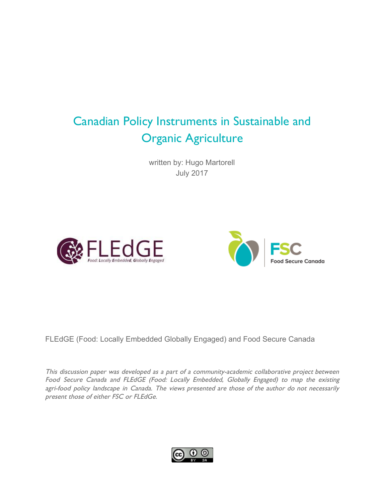# Canadian Policy Instruments in Sustainable and Organic Agriculture

written by: Hugo Martorell July 2017





FLEdGE (Food: Locally Embedded Globally Engaged) and Food Secure Canada

This discussion paper was developed as <sup>a</sup> part of <sup>a</sup> community-academic collaborative project between Food Secure Canada and FLEdGE (Food: Locally Embedded, Globally Engaged) to map the existing agri-food policy landscape in Canada. The views presented are those of the author do not necessarily present those of either FSC or FLEdGe.

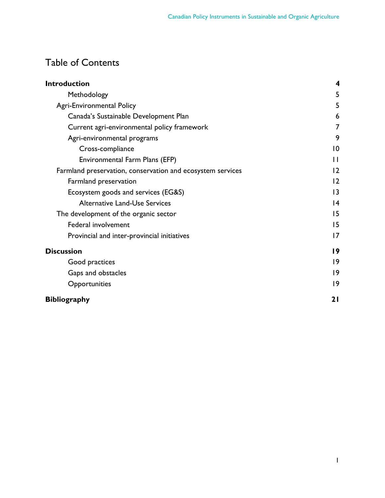## Table of Contents

| <b>Introduction</b>                                        | 4               |
|------------------------------------------------------------|-----------------|
| Methodology                                                | 5               |
| <b>Agri-Environmental Policy</b>                           | 5               |
| Canada's Sustainable Development Plan                      | 6               |
| Current agri-environmental policy framework                | 7               |
| Agri-environmental programs                                | 9               |
| Cross-compliance                                           | $\overline{0}$  |
| Environmental Farm Plans (EFP)                             | $\mathbf{H}$    |
| Farmland preservation, conservation and ecosystem services | 12              |
| Farmland preservation                                      | 2               |
| Ecosystem goods and services (EG&S)                        | 3               |
| <b>Alternative Land-Use Services</b>                       | $\overline{14}$ |
| The development of the organic sector                      | 15              |
| Federal involvement                                        | 15              |
| Provincial and inter-provincial initiatives                | 17              |
| <b>Discussion</b>                                          | 19              |
| Good practices                                             | 9               |
| Gaps and obstacles                                         | 9               |
| Opportunities                                              | 9               |
| <b>Bibliography</b>                                        | 21              |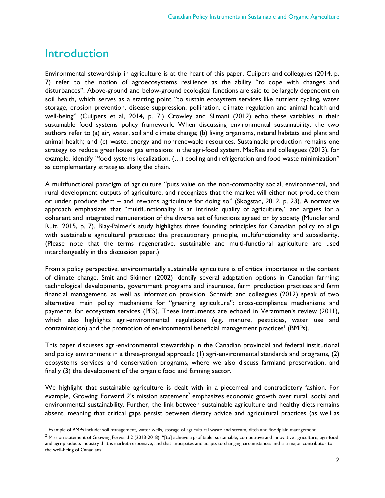## <span id="page-2-0"></span>Introduction

Environmental stewardship in agriculture is at the heart of this paper. Cuijpers and colleagues (2014, p. 7) refer to the notion of agroecosystems resilience as the ability "to cope with changes and disturbances". Above-ground and below-ground ecological functions are said to be largely dependent on soil health, which serves as a starting point "to sustain ecosystem services like nutrient cycling, water storage, erosion prevention, disease suppression, pollination, climate regulation and animal health and well-being" (Cuijpers et al, 2014, p. 7.) Crowley and Slimani (2012) echo these variables in their sustainable food systems policy framework. When discussing environmental sustainability, the two authors refer to (a) air, water, soil and climate change; (b) living organisms, natural habitats and plant and animal health; and (c) waste, energy and nonrenewable resources. Sustainable production remains one strategy to reduce greenhouse gas emissions in the agri-food system. MacRae and colleagues (2013), for example, identify "food systems localization, (…) cooling and refrigeration and food waste minimization" as complementary strategies along the chain.

A multifunctional paradigm of agriculture "puts value on the non-commodity social, environmental, and rural development outputs of agriculture, and recognizes that the market will either not produce them or under produce them – and rewards agriculture for doing so" (Skogstad, 2012, p. 23). A normative approach emphasizes that "multifunctionality is an intrinsic quality of agriculture," and argues for a coherent and integrated remuneration of the diverse set of functions agreed on by society (Mundler and Ruiz, 2015, p. 7). Blay-Palmer's study highlights three founding principles for Canadian policy to align with sustainable agricultural practices: the precautionary principle, multifunctionality and subsidiarity. (Please note that the terms regenerative, sustainable and multi-functional agriculture are used interchangeably in this discussion paper.)

From a policy perspective, environmentally sustainable agriculture is of critical importance in the context of climate change. Smit and Skinner (2002) identify several adaptation options in Canadian farming: technological developments, government programs and insurance, farm production practices and farm financial management, as well as information provision. Schmidt and colleagues (2012) speak of two alternative main policy mechanisms for "greening agriculture": cross-compliance mechanisms and payments for ecosystem services (PES). These instruments are echoed in Verammen's review (2011), which also highlights agri-environmental regulations (e.g. manure, pesticides, water use and contamination) and the promotion of environmental beneficial management practices $^{\text{I}}$  (BMPs).

This paper discusses agri-environmental stewardship in the Canadian provincial and federal institutional and policy environment in a three-pronged approach: (1) agri-environmental standards and programs, (2) ecosystems services and conservation programs, where we also discuss farmland preservation, and finally (3) the development of the organic food and farming sector.

We highlight that sustainable agriculture is dealt with in a piecemeal and contradictory fashion. For example, Growing Forward 2's mission statement $^2$  emphasizes economic growth over rural, social and environmental sustainability. Further, the link between sustainable agriculture and healthy diets remains absent, meaning that critical gaps persist between dietary advice and agricultural practices (as well as

 $<sup>1</sup>$  Example of BMPs include: soil management, water wells, storage of agricultural waste and stream, ditch and floodplain management</sup>

 $^2$  Mission statement of Growing Forward 2 (2013-2018): "[to] achieve a profitable, sustainable, competitive and innovative agriculture, agri-food and agri-products industry that is market-responsive, and that anticipates and adapts to changing circumstances and is a major contributor to the well-being of Canadians."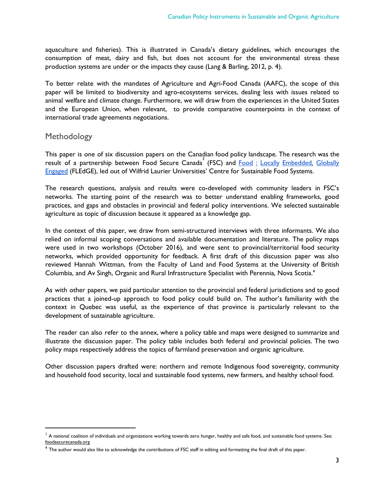aquaculture and fisheries). This is illustrated in Canada's dietary guidelines, which encourages the consumption of meat, dairy and fish, but does not account for the environmental stress these production systems are under or the impacts they cause (Lang & Barling, 2012, p. 4).

To better relate with the mandates of Agriculture and Agri-Food Canada (AAFC), the scope of this paper will be limited to biodiversity and agro-ecosystems services, dealing less with issues related to animal welfare and climate change. Furthermore, we will draw from the experiences in the United States and the European Union, when relevant, to provide comparative counterpoints in the context of international trade agreements negotiations.

#### <span id="page-3-0"></span>Methodology

This paper is one of six discussion papers on the Canadian food policy landscape. The research was the result of a partnership between Food Secure Canada<sup>3</sup> (FSC) and Food : Locally [Embedded,](https://fledgeresearch.ca/) Globally [Engaged](https://fledgeresearch.ca/) (FLEdGE), led out of Wilfrid Laurier Universities' Centre for Sustainable Food Systems.

The research questions, analysis and results were co-developed with community leaders in FSC's networks. The starting point of the research was to better understand enabling frameworks, good practices, and gaps and obstacles in provincial and federal policy interventions. We selected sustainable agriculture as topic of discussion because it appeared as a knowledge gap.

In the context of this paper, we draw from semi-structured interviews with three informants. We also relied on informal scoping conversations and available documentation and literature. The policy maps were used in two workshops (October 2016), and were sent to provincial/territorial food security networks, which provided opportunity for feedback. A first draft of this discussion paper was also reviewed Hannah Wittman, from the Faculty of Land and Food Systems at the University of British Columbia, and Av Singh, Organic and Rural Infrastructure Specialist with Perennia, Nova Scotia.<sup>4</sup>

As with other papers, we paid particular attention to the provincial and federal jurisdictions and to good practices that a joined-up approach to food policy could build on. The author's familiarity with the context in Quebec was useful, as the experience of that province is particularly relevant to the development of sustainable agriculture.

The reader can also refer to the annex, where a policy table and maps were designed to summarize and illustrate the discussion paper. The policy table includes both federal and provincial policies. The two policy maps respectively address the topics of farmland preservation and organic agriculture.

Other discussion papers drafted were: northern and remote Indigenous food sovereignty, community and household food security, local and sustainable food systems, new farmers, and healthy school food.

 $^3$  A national coalition of individuals and organizations working towards zero hunger, healthy and safe food, and sustainable food systems. See: foodsecurecanada.org

 $4$  The author would also like to acknowledge the contributions of FSC staff in editing and formatting the final draft of this paper.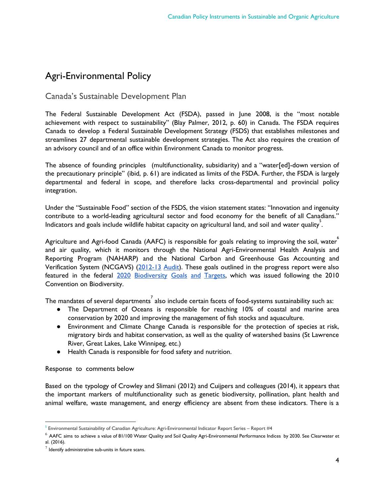## <span id="page-4-0"></span>Agri-Environmental Policy

#### <span id="page-4-1"></span>Canada's Sustainable Development Plan

The Federal Sustainable Development Act (FSDA), passed in June 2008, is the "most notable achievement with respect to sustainability" (Blay Palmer, 2012, p. 60) in Canada. The FSDA requires Canada to develop a Federal Sustainable Development Strategy (FSDS) that establishes milestones and streamlines 27 departmental sustainable development strategies. The Act also requires the creation of an advisory council and of an office within Environment Canada to monitor progress.

The absence of founding principles (multifunctionality, subsidiarity) and a "water[ed]-down version of the precautionary principle" (ibid, p. 61) are indicated as limits of the FSDA. Further, the FSDA is largely departmental and federal in scope, and therefore lacks cross-departmental and provincial policy integration.

Under the "Sustainable Food" section of the FSDS, the vision statement states: "Innovation and ingenuity contribute to a world-leading agricultural sector and food economy for the benefit of all Canadians." Indicators and goals include wildlife habitat capacity on agricultural land, and soil and water quality.

Agriculture and Agri-food Canada (AAFC) is responsible for goals relating to improving the soil, water $\degree$ and air quality, which it monitors through the National Agri-Environmental Health Analysis and Reporting Program (NAHARP) and the National Carbon and Greenhouse Gas Accounting and Verification System (NCGAVS) ([2012-13](http://www.agr.gc.ca/eng/about-us/offices-and-locations/office-of-audit-and-evaluation/audit-and-evaluation-reports/agriculture-and-agri-food-canada-evaluation-reports/evaluation-of-performance-measurement-and-reporting-programs-naharp-and-ncgavs/?id=1379353990720) Audit). These goals outlined in the progress report were also featured in the federal 2020 [Biodiversity](http://biodivcanada.ca/default.asp?lang=En&n=9B5793F6-1) Goals and Targets, which was issued following the 2010 Convention on Biodiversity.

The mandates of several departments $\vec{\ }$  also include certain facets of food-systems sustainability such as:

- The Department of Oceans is responsible for reaching 10% of coastal and marine area conservation by 2020 and improving the management of fish stocks and aquaculture.
- Environment and Climate Change Canada is responsible for the protection of species at risk, migratory birds and habitat conservation, as well as the quality of watershed basins (St Lawrence River, Great Lakes, Lake Winnipeg, etc.)
- Health Canada is responsible for food safety and nutrition.

Response to comments below

Based on the typology of Crowley and Slimani (2012) and Cuijpers and colleagues (2014), it appears that the important markers of multifunctionality such as genetic biodiversity, pollination, plant health and animal welfare, waste management, and energy efficiency are absent from these indicators. There is a

 $5$  Environmental Sustainability of Canadian Agriculture: Agri-Environmental Indicator Report Series – Report #4

 $^6$  AAFC aims to achieve a value of 81/100 Water Quality and Soil Quality Agri-Environmental Performance Indices by 2030. See Clearwater et al. (2016).

 $^7$  Identify administrative sub-units in future scans.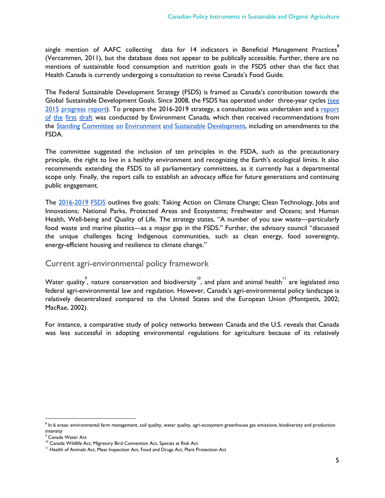$\mathsf{s}$ ingle mention of AAFC collecting  $\;$  data for 14 indicators in Beneficial Management Practices $\degree$ (Vercammen, 2011), but the database does not appear to be publically accessible. Further, there are no mentions of sustainable food consumption and nutrition goals in the FSDS other than the fact that Health Canada is currently undergoing a consultation to revise Canada's Food Guide.

The Federal Sustainable Development Strategy (FSDS) is framed as Canada's contribution towards the Global Sustainable Development Goals. Since 2008, the FSDS has operated under three-year cycles [\(see](https://www.canada.ca/en/services/environment/conservation/sustainability/federal-sustainable-development-strategy/2015-progress-report.html) 2015 [progress](https://www.canada.ca/en/services/environment/conservation/sustainability/federal-sustainable-development-strategy/2015-progress-report.html) [report](http://www.ec.gc.ca/dd-sd/default.asp?lang=en&n=A794E3A5-1)). To prepare the 2016-2019 strategy, a consultation was undertaken and a report of the first [draft](http://www.ec.gc.ca/dd-sd/default.asp?lang=en&n=A794E3A5-1) was conducted by Environment Canada, which then received recommendations from the Standing Committee on Environment and Sustainable [Development,](http://www.parl.gc.ca/HousePublications/Publication.aspx?Language=e&Mode=1&Parl=42&Ses=1&DocId=8378128) including on amendments to the FSDA.

The committee suggested the inclusion of ten principles in the FSDA, such as the precautionary principle, the right to live in a healthy environment and recognizing the Earth's ecological limits. It also recommends extending the FSDS to all parliamentary committees, as it currently has a departmental scope only. Finally, the report calls to establish an advocacy office for future generations and continuing public engagement.

The [2016-2019](http://www.fsds-sfdd.ca/downloads/3130%20-%20Federal%20Sustainable%20Development%20Strategy%202016-2019_.pdf) FSDS outlines five goals: Taking Action on Climate Change; Clean Technology, Jobs and Innovations; National Parks, Protected Areas and Ecosystems; Freshwater and Oceans; and Human Health, Well-being and Quality of Life. The strategy states, "A number of you saw waste—particularly food waste and marine plastics—as a major gap in the FSDS." Further, the advisory council "discussed the unique challenges facing Indigenous communities, such as clean energy, food sovereignty, energy-efficient housing and resilience to climate change."

#### <span id="page-5-0"></span>Current agri-environmental policy framework

Water quality<sup>9</sup>, nature conservation and biodiversity<sup>10</sup>, and plant and animal health $^{\prime\prime}$  are legislated into federal agri-environmental law and regulation. However, Canada's agri-environmental policy landscape is relatively decentralized compared to the United States and the European Union (Montpetit, 2002; MacRae, 2002).

For instance, a comparative study of policy networks between Canada and the U.S. reveals that Canada was less successful in adopting environmental regulations for agriculture because of its relatively

 $^{\text{8}}$  In 6 areas: environmental farm management, soil quality, water quality, agri-ecosystem greenhouse gas emissions, biodiversity and production intensity

<sup>9</sup> Canada Water Act

<sup>&</sup>lt;sup>10</sup> Canada Wildlife Act, Migratory Bird Convention Act, Species at Risk Act

<sup>&</sup>lt;sup>11</sup> Health of Animals Act, Meat Inspection Act, Food and Drugs Act, Plant Protection Act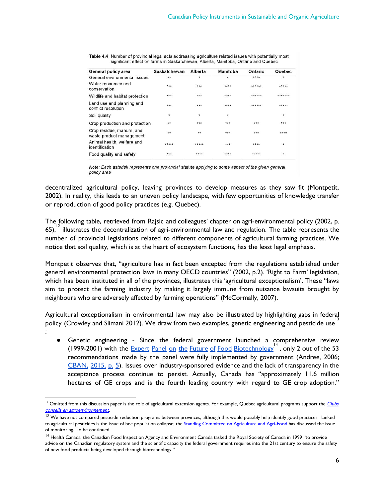| General policy area                                   | <b>Saskatchewan</b> | <b>Alberta</b> | Manitoba | Ontario | Quebec  |
|-------------------------------------------------------|---------------------|----------------|----------|---------|---------|
| General environmental issues                          | $**$                | $\star$        | $\star$  | ****    | $\star$ |
| Water resources and<br>conservation                   | ***                 | ***            | ****     | ******  | *****   |
| Wildlife and habitat protection                       | ***                 | ***            | ****     | ******  | ******* |
| Land use and planning and<br>conflict resolution      | ***                 | ***            | ****     | ******  | *****   |
| Soil quality                                          | ٠                   | $\star$        | ×        |         | ٠       |
| Crop production and protection                        | $\star\star$        | ***            | ***      | ***     | ***     |
| Crop residue, manure, and<br>waste product management | $\star\star$        | $+ +$          | ***      | ***     | ****    |
| Animal health, welfare and<br>identification          | *****               | *****          | ***      | ****    | ٠       |
| Food quality and safety                               | ***                 | ****           | ****     | *****   | $\star$ |

Table 4.4 Number of provincial legal acts addressing agriculture related issues with potentially most significant effect on farms in Saskatchewan, Alberta, Manitoba, Ontario and Quebec

Note: Each asterisk represents one provincial statute applying to some aspect of the given general policy area

decentralized agricultural policy, leaving provinces to develop measures as they saw fit (Montpetit, 2002). In reality, this leads to an uneven policy landscape, with few opportunities of knowledge transfer or reproduction of good policy practices (e.g. Quebec).

The following table, retrieved from Rajsic and colleagues' chapter on agri-environmental policy (2002, p.  $65$ ,  $^{12}$  illustrates the decentralization of agri-environmental law and regulation. The table represents the number of provincial legislations related to different components of agricultural farming practices. We notice that soil quality, which is at the heart of ecosystem functions, has the least legal emphasis.

Montpetit observes that, "agriculture has in fact been excepted from the regulations established under general environmental protection laws in many OECD countries" (2002, p.2). 'Right to Farm' legislation, which has been instituted in all of the provinces, illustrates this 'agricultural exceptionalism'. These "laws aim to protect the farming industry by making it largely immune from nuisance lawsuits brought by neighbours who are adversely affected by farming operations" (McCormally, 2007).

Agricultural exceptionalism in environmental law may also be illustrated by highlighting gaps in federal policy (Crowley and Slimani 2012). We draw from two examples, genetic engineering and pesticide use  $\frac{13}{10}$ 

:

● Genetic engineering - Since the federal government launched a comprehensive review  $(1999-2001)$  with the Expert Panel on the Future of Food [Biotechnology](http://citeseerx.ist.psu.edu/viewdoc/download;jsessionid=27665F21672B2D30F25A79DEB4EE8626?doi=10.1.1.113.2361&rep=rep1&type=pdf)  $(1999-2001)$  with the 53 recommendations made by the panel were fully implemented by government (Andree, 2006;  $CBAN$ ,  $2015$ ,  $p. 5$ ). Issues over industry-sponsored evidence and the lack of transparency in the acceptance process continue to persist. Actually, Canada has "approximately 11.6 million hectares of GE crops and is the fourth leading country with regard to GE crop adoption."

<sup>&</sup>lt;sup>12</sup> Omitted from this discussion paper is the role of agricultural extension agents. For example, Quebec agricultural programs support the  $\frac{Clubs}{}$  $\frac{Clubs}{}$  $\frac{Clubs}{}$ conseils en [agroenvironnement](http://clubsconseils.org/).

 $13$  We have not compared pesticide reduction programs between provinces, although this would possibly help identify good practices. Linked to agricultural pesticides is the issue of bee population collapse; the Standing [Committee](http://www.parl.gc.ca/Committees/en/AGRI/StudyActivity?studyActivityId=8896793) on Agriculture and Agri-Food has discussed the issue of monitoring. To be continued.

<sup>&</sup>lt;sup>14</sup> Health Canada, the Canadian Food Inspection Agency and Environment Canada tasked the Royal Society of Canada in 1999 "to provide advice on the Canadian regulatory system and the scientific capacity the federal government requires into the 21st century to ensure the safety of new food products being developed through biotechnology."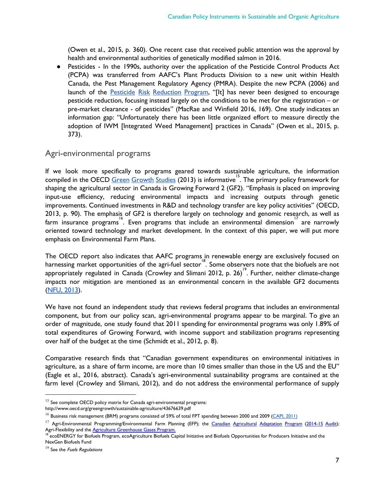(Owen et al., 2015, p. 360). One recent case that received public attention was the approval by health and environmental authorities of genetically modified salmon in 2016.

● Pesticides - In the 1990s, authority over the application of the Pesticide Control Products Act (PCPA) was transferred from AAFC's Plant Products Division to a new unit within Health Canada, the Pest Management Regulatory Agency (PMRA). Despite the new PCPA (2006) and launch of the Pesticide Risk [Reduction](http://www.agr.gc.ca/eng/?id=1288277891464) Program, "[It] has never been designed to encourage pesticide reduction, focusing instead largely on the conditions to be met for the registration – or pre-market clearance - of pesticides" (MacRae and Winfield 2016, 169). One study indicates an information gap: "Unfortunately there has been little organized effort to measure directly the adoption of IWM [Integrated Weed Management] practices in Canada" (Owen et al., 2015, p. 373).

#### <span id="page-7-0"></span>Agri-environmental programs

If we look more specifically to programs geared towards sustainable agriculture, the information compiled in the OECD Green [Growth](http://www.keepeek.com/Digital-Asset-Management/oecd/agriculture-and-food/policy-instruments-to-support-green-growth-in-agriculture_9789264203525-en#.WO5E0BLyukY) Studies (2013) is informative <sup>15</sup>. The primary policy framework for shaping the agricultural sector in Canada is Growing Forward 2 (GF2). "Emphasis is placed on improving input-use efficiency, reducing environmental impacts and increasing outputs through genetic improvements. Continued investments in R&D and technology transfer are key policy activities" (OECD, 2013, p. 90). The emphasis of GF2 is therefore largely on technology and genomic research, as well as farm insurance programs<sup>16</sup>. Even programs that include an environmental dimension<sup>17</sup> are narrowly oriented toward technology and market development. In the context of this paper, we will put more emphasis on Environmental Farm Plans.

The OECD report also indicates that AAFC programs in renewable energy are exclusively focused on harnessing market opportunities of the agri-fuel sector<sup>18</sup>. Some observers note that the biofuels are not appropriately regulated in Canada (Crowley and Slimani 2012, p. 26)<sup>19</sup>. Further, neither climate-change impacts nor mitigation are mentioned as an environmental concern in the available GF2 documents [\(NFU,](http://www.nfu.ca/sites/www.nfu.ca/files/Growing%20Forward%202%20%E2%80%93%20Accelerating%20Globalization,%20Stalling%20Food%20Sovereignty.pdf) 2013).

We have not found an independent study that reviews federal programs that includes an environmental component, but from our policy scan, agri-environmental programs appear to be marginal. To give an order of magnitude, one study found that 2011 spending for environmental programs was only 1.89% of total expenditures of Growing Forward, with income support and stabilization programs representing over half of the budget at the time (Schmidt et al., 2012, p. 8).

Comparative research finds that "Canadian government expenditures on environmental initiatives in agriculture, as a share of farm income, are more than 10 times smaller than those in the US and the EU" (Eagle et al., 2016, abstract). Canada's agri-environmental sustainability programs are contained at the farm level (Crowley and Slimani, 2012), and do not address the environmental performance of supply

 $15$  See complete OECD policy matrix for Canada agri-environmental programs: http://www.oecd.org/greengrowth/sustainable-agriculture/43676639.pdf

 $^{16}$  Business risk management (BRM) programs consisted of 59% of total FPT spending between 2000 and 2009 (CAPI, [2011\)](http://capi-icpa.ca/destinations/CAPI-Agri-Food_Destination_FULL.pdf)

<sup>&</sup>lt;sup>17</sup> Agri-Environmental Programming/Environmental Farm Planning (EFP); the *Canadian [Agricultural](http://www.agr.gc.ca/eng/programs-and-services/list-of-programs-and-services/canadian-agricultural-adaptation-program-2014-2019/?id=1396016168338) Adaptation Program [\(2014-15](http://www.agr.gc.ca/eng/about-us/offices-and-locations/office-of-audit-and-evaluation/audit-and-evaluation-reports/agriculture-and-agri-food-canada-evaluation-reports/evaluation-of-the-agricultural-greenhouse-gases-program/?id=1424977033211) Audit*); Agri-Flexibility and the Agriculture [Greenhouse](http://www.agr.gc.ca/eng/programs-and-services/list-of-programs-and-services/agricultural-greenhouse-gases-program/?id=1461247059955) Gases Program.

ecoENERGY for Biofuels Program, ecoAgriculture Biofuels Capital Initiative and Biofuels Opportunities for Producers Initiative and the NexGen Biofuels Fund

 $19$  See the *Fuels Regulations*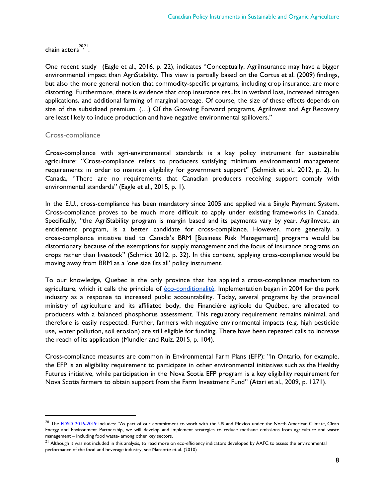chain actors<sup>2021</sup>.

One recent study (Eagle et al., 2016, p. 22), indicates "Conceptually, AgriInsurance may have a bigger environmental impact than AgriStability. This view is partially based on the Cortus et al. (2009) findings, but also the more general notion that commodity-specific programs, including crop insurance, are more distorting. Furthermore, there is evidence that crop insurance results in wetland loss, increased nitrogen applications, and additional farming of marginal acreage. Of course, the size of these effects depends on size of the subsidized premium. (...) Of the Growing Forward programs, Agrilnvest and AgriRecovery are least likely to induce production and have negative environmental spillovers."

#### <span id="page-8-0"></span>Cross-compliance

Cross-compliance with agri-environmental standards is a key policy instrument for sustainable agriculture: "Cross-compliance refers to producers satisfying minimum environmental management requirements in order to maintain eligibility for government support" (Schmidt et al., 2012, p. 2). In Canada, "There are no requirements that Canadian producers receiving support comply with environmental standards" (Eagle et al., 2015, p. 1).

In the E.U., cross-compliance has been mandatory since 2005 and applied via a Single Payment System. Cross-compliance proves to be much more difficult to apply under existing frameworks in Canada. Specifically, "the AgriStability program is margin based and its payments vary by year. Agrilnvest, an entitlement program, is a better candidate for cross-compliance. However, more generally, a cross-compliance initiative tied to Canada's BRM [Business Risk Management] programs would be distortionary because of the exemptions for supply management and the focus of insurance programs on crops rather than livestock" (Schmidt 2012, p. 32). In this context, applying cross-compliance would be moving away from BRM as a 'one size fits all' policy instrument.

To our knowledge, Quebec is the only province that has applied a cross-compliance mechanism to agriculture, which it calls the principle of *éco-conditionalité*. Implementation began in 2004 for the pork industry as a response to increased public accountability. Today, several programs by the provincial ministry of agriculture and its affiliated body, the Financière agricole du Québec, are allocated to producers with a balanced phosphorus assessment. This regulatory requirement remains minimal, and therefore is easily respected. Further, farmers with negative environmental impacts (e.g. high pesticide use, water pollution, soil erosion) are still eligible for funding. There have been repeated calls to increase the reach of its application (Mundler and Ruiz, 2015, p. 104).

Cross-compliance measures are common in Environmental Farm Plans (EFP): "In Ontario, for example, the EFP is an eligibility requirement to participate in other environmental initiatives such as the Healthy Futures initiative, while participation in the Nova Scotia EFP program is a key eligibility requirement for Nova Scotia farmers to obtain support from the Farm Investment Fund" (Atari et al., 2009, p. 1271).

<sup>&</sup>lt;sup>20</sup> The FDSD [2016-2019](http://fsds-sfdd.ca/index.html#/en/detail/all/goal:G11) includes: "As part of our commitment to work with the US and Mexico under the North American Climate, Clean Energy and Environment Partnership, we will develop and implement strategies to reduce methane emissions from agriculture and waste management – including food waste- among other key sectors.

 $21$  Although it was not included in this analysis, to read more on eco-efficiency indicators developed by AAFC to assess the environmental performance of the food and beverage industry, see Marcotte et al. (2010)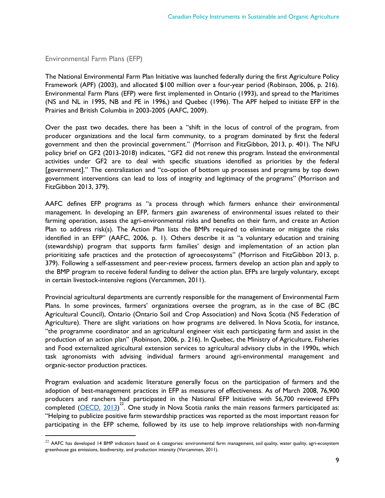<span id="page-9-0"></span>Environmental Farm Plans (EFP)

The National Environmental Farm Plan Initiative was launched federally during the first Agriculture Policy Framework (APF) (2003), and allocated \$100 million over a four-year period (Robinson, 2006, p. 216). Environmental Farm Plans (EFP) were first implemented in Ontario (1993), and spread to the Maritimes (NS and NL in 1995, NB and PE in 1996,) and Quebec (1996). The APF helped to initiate EFP in the Prairies and British Columbia in 2003-2005 (AAFC, 2009).

Over the past two decades, there has been a "shift in the locus of control of the program, from producer organizations and the local farm community, to a program dominated by first the federal government and then the provincial government." (Morrison and FitzGibbon, 2013, p. 401). The NFU policy brief on GF2 (2013-2018) indicates, "GF2 did not renew this program. Instead the environmental activities under GF2 are to deal with specific situations identified as priorities by the federal [government]." The centralization and "co-option of bottom up processes and programs by top down government interventions can lead to loss of integrity and legitimacy of the programs" (Morrison and FitzGibbon 2013, 379).

AAFC defines EFP programs as "a process through which farmers enhance their environmental management. In developing an EFP, farmers gain awareness of environmental issues related to their farming operation, assess the agri-environmental risks and benefits on their farm, and create an Action Plan to address risk(s). The Action Plan lists the BMPs required to eliminate or mitigate the risks identified in an EFP" (AAFC, 2006, p. 1). Others describe it as "a voluntary education and training (stewardship) program that supports farm families' design and implementation of an action plan prioritizing safe practices and the protection of agroecosystems" (Morrison and FitzGibbon 2013, p. 379). Following a self-assessment and peer-review process, farmers develop an action plan and apply to the BMP program to receive federal funding to deliver the action plan. EFPs are largely voluntary, except in certain livestock-intensive regions (Vercammen, 2011).

Provincial agricultural departments are currently responsible for the management of Environmental Farm Plans. In some provinces, farmers' organizations oversee the program, as in the case of BC (BC Agricultural Council), Ontario (Ontario Soil and Crop Association) and Nova Scotia (NS Federation of Agriculture). There are slight variations on how programs are delivered. In Nova Scotia, for instance, "the programme coordinator and an agricultural engineer visit each participating farm and assist in the production of an action plan" (Robinson, 2006, p. 216). In Quebec, the Ministry of Agriculture, Fisheries and Food externalized agricultural extension services to agricultural advisory clubs in the 1990s, which task agronomists with advising individual farmers around agri-environmental management and organic-sector production practices.

Program evaluation and academic literature generally focus on the participation of farmers and the adoption of best-management practices in EFP as measures of effectiveness. As of March 2008, 76,900 producers and ranchers had participated in the National EFP Initiative with 56,700 reviewed EFPs .<br>completed [\(OECD,](http://www.oecd.org/greengrowth/sustainable-agriculture/43676639.pdf) 2013)<sup>22</sup>. One study in Nova Scotia ranks the main reasons farmers participated as: "Helping to publicize positive farm stewardship practices was reported as the most important reason for participating in the EFP scheme, followed by its use to help improve relationships with non-farming

 $22$  AAFC has developed 14 BMP indicators based on 6 categories: environmental farm management, soil quality, water quality, agri-ecosystem greenhouse gas emissions, biodiversity, and production intensity (Vercammen, 2011).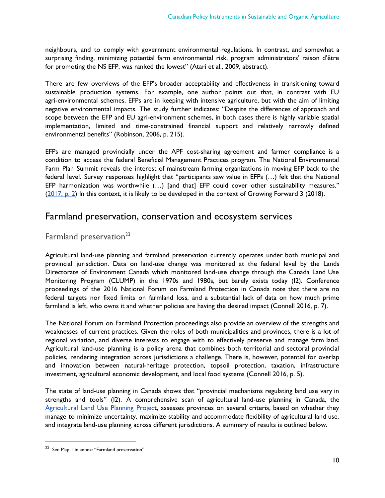neighbours, and to comply with government environmental regulations. In contrast, and somewhat a surprising finding, minimizing potential farm environmental risk, program administrators' raison d'être for promoting the NS EFP, was ranked the lowest" (Atari et al., 2009, abstract).

There are few overviews of the EFP's broader acceptability and effectiveness in transitioning toward sustainable production systems. For example, one author points out that, in contrast with EU agri-environmental schemes, EFPs are in keeping with intensive agriculture, but with the aim of limiting negative environmental impacts. The study further indicates: "Despite the differences of approach and scope between the EFP and EU agri-environment schemes, in both cases there is highly variable spatial implementation, limited and time-constrained financial support and relatively narrowly defined environmental benefits" (Robinson, 2006, p. 215).

EFPs are managed provincially under the APF cost-sharing agreement and farmer compliance is a condition to access the federal Beneficial Management Practices program. The National Environmental Farm Plan Summit reveals the interest of mainstream farming organizations in moving EFP back to the federal level. Survey responses highlight that "participants saw value in EFPs (…) felt that the National EFP harmonization was worthwhile (...) [and that] EFP could cover other sustainability measures." [\(2017,](http://files.constantcontact.com/0b875b89001/572cf685-6070-456c-b579-e3dc4a1ad02b.pdf?ver=1481662677000) p. 2) In this context, it is likely to be developed in the context of Growing Forward 3 (2018).

### <span id="page-10-0"></span>Farmland preservation, conservation and ecosystem services

### <span id="page-10-1"></span>Farmland preservation<sup>23</sup>

Agricultural land-use planning and farmland preservation currently operates under both municipal and provincial jurisdiction. Data on land-use change was monitored at the federal level by the Lands Directorate of Environment Canada which monitored land-use change through the Canada Land Use Monitoring Program (CLUMP) in the 1970s and 1980s, but barely exists today (I2). Conference proceedings of the 2016 National Forum on Farmland Protection in Canada note that there are no federal targets nor fixed limits on farmland loss, and a substantial lack of data on how much prime farmland is left, who owns it and whether policies are having the desired impact (Connell 2016, p. 7).

The National Forum on Farmland Protection proceedings also provide an overview of the strengths and weaknesses of current practices. Given the roles of both municipalities and provinces, there is a lot of regional variation, and diverse interests to engage with to effectively preserve and manage farm land. Agricultural land-use planning is a policy arena that combines both territorial and sectoral provincial policies, rendering integration across jurisdictions a challenge. There is, however, potential for overlap and innovation between natural-heritage protection, topsoil protection, taxation, infrastructure investment, agricultural economic development, and local food systems (Connell 2016, p. 5).

The state of land-use planning in Canada shows that "provincial mechanisms regulating land use vary in strengths and tools" (I2). A comprehensive scan of agricultural land-use planning in Canada, the [Agricultural](http://blogs.unbc.ca/agplanning/) Land Use Planning Project, assesses provinces on several criteria, based on whether they manage to minimize uncertainty, maximize stability and accommodate flexibility of agricultural land use, and integrate land-use planning across different jurisdictions. A summary of results is outlined below.

<sup>23</sup> See Map 1 in annex: "Farmland preservation"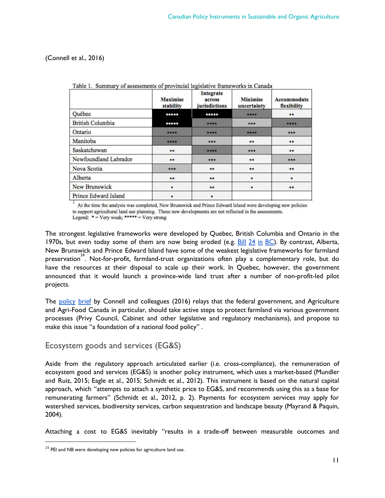(Connell et al., 2016)

|                         | <b>Maximise</b><br>stability | Integrate<br>across<br>jurisdictions | <b>Minimise</b><br>uncertainty | Accommodate<br>flexibility |
|-------------------------|------------------------------|--------------------------------------|--------------------------------|----------------------------|
| Québec                  | *****                        | *****                                | ****                           | $***$                      |
| <b>British Columbia</b> | *****                        | ****                                 | ***                            | ****                       |
| Ontario                 | ****                         | ****                                 | ****                           | ***                        |
| Manitoba                | ****                         | ***                                  | $**$                           | **                         |
| Saskatchewan            | **                           | ****                                 | ***                            | $***$                      |
| Newfoundland Labrador   | **                           | ***                                  | **                             | ***                        |
| Nova Scotia             | ***                          | **                                   | $***$                          | **                         |
| Alberta                 | **                           | **                                   | $\ast$                         | *                          |
| New Brunswick           | $\ast$                       | **                                   | $\ast$                         | **                         |
| Prince Edward Island    | ż                            | *                                    |                                |                            |

Table 1. Summary of assessments of provincial legislative frameworks in Canada

At the time the analysis was completed, New Brunswick and Prince Edward Island were developing new policies to support agricultural land use planning. These new developments are not reflected in the assessments. Legend:  $* = \text{Very weak};$  \*\*\*\*\* =  $\text{Very strong}$ 

The strongest legislative frameworks were developed by Quebec, British Columbia and Ontario in the 1970s, but even today some of them are now being eroded (e.g.  $\underline{\text{Bill 24}}$  in  $\underline{\text{BC}}$ ). By contrast, Alberta, New Brunswick and Prince Edward Island have some of the weakest legislative frameworks for farmland preservation<sup>24</sup>. Not-for-profit, farmland-trust organizations often play a complementary role, but do have the resources at their disposal to scale up their work. In Quebec, however, the government announced that it would launch a province-wide land trust after a number of non-profit-led pilot projects.

The [policy](http://blogs.unbc.ca/agplanning/files/2013/09/Policy-Brief-Farmland-Protection-in-Canada-Aug-20163.pdf) brief by Connell and colleagues (2016) relays that the federal government, and Agriculture and Agri-Food Canada in particular, should take active steps to protect farmland via various government processes (Privy Council, Cabinet and other legislative and regulatory mechanisms), and propose to make this issue "a foundation of a national food policy" .

#### <span id="page-11-0"></span>Ecosystem goods and services (EG&S)

Aside from the regulatory approach articulated earlier (i.e. cross-compliance), the remuneration of ecosystem good and services (EG&S) is another policy instrument, which uses a market-based (Mundler and Ruiz, 2015; Eagle et al., 2015; Schmidt et al., 2012). This instrument is based on the natural capital approach, which "attempts to attach a synthetic price to EG&S, and recommends using this as a base for remunerating farmers" (Schmidt et al., 2012, p. 2). Payments for ecosystem services may apply for watershed services, biodiversity services, carbon sequestration and landscape beauty (Mayrand & Paquin, 2004).

Attaching a cost to EG&S inevitably "results in a trade-off between measurable outcomes and

 $24$  PEI and NB were developing new policies for agriculture land use.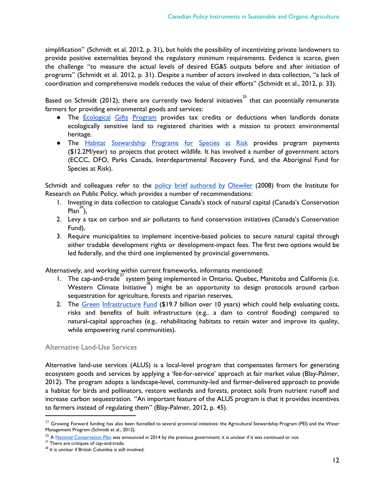simplification" (Schmidt et al. 2012, p. 31), but holds the possibility of incentivizing private landowners to provide positive externalities beyond the regulatory minimum requirements. Evidence is scarce, given the challenge "to measure the actual levels of desired EG&S outputs before and after initiation of programs" (Schmidt et al. 2012, p. 31). Despite a number of actors involved in data collection, "a lack of coordination and comprehensive models reduces the value of their efforts" (Schmidt et al., 2012, p. 33).

Based on Schmidt (2012), there are currently two federal initiatives $^{25}$  that can potentially remunerate farmers for providing environmental goods and services:

- The **[Ecological](http://www.ec.gc.ca/pde-egp/) Gifts Program** provides tax credits or deductions when landlords donate ecologically sensitive land to registered charities with a mission to protect environmental heritage.
- The Habitat [Stewardship](https://www.ec.gc.ca/hsp-pih/) Programs for Species at Risk provides program payments (\$12.2M/year) to projects that protect wildlife. It has involved a number of government actors (ECCC, DFO, Parks Canada, Interdepartmental Recovery Fund, and the Aboriginal Fund for Species at Risk).

Schmidt and colleagues refer to the policy brief [authored](http://irpp.org/research-studies/olewiler-2008-09-29/) by Olewiler (2008) from the Institute for Research on Public Policy, which provides a number of recommendations:

- 1. Investing in data collection to catalogue Canada's stock of natural capital (Canada's Conservation  $Plan<sup>26</sup>$ ),
- 2. Levy a tax on carbon and air pollutants to fund conservation initiatives (Canada's Conservation Fund),
- 3. Require municipalities to implement incentive-based policies to secure natural capital through either tradable development rights or development-impact fees. The first two options would be led federally, and the third one implemented by provincial governments.

Alternatively, and working within current frameworks, informants mentioned:

- 1. The cap-and-trade system being implemented in Ontario, Quebec, Manitoba and California (i.e. Western Climate Initiative<sup>28</sup>) might be an opportunity to design protocols around carbon sequestration for agriculture, forests and riparian reserves,
- 2. The Green [Infrastructure](http://www.fcm.ca/Documents/presentations/2016/SCC/Update_on_the_News_Building_Canada_Fund_and_the_new_Green_Infrastructure_Fund_Marc_LeBlanc_EN.pdf) Fund (\$19.7 billion over 10 years) which could help evaluating costs, risks and benefits of built infrastructure (e.g.. a dam to control flooding) compared to natural-capital approaches (e.g.. rehabilitating habitats to retain water and improve its quality, while empowering rural communities).

#### <span id="page-12-0"></span>Alternative Land-Use Services

Alternative land-use services (ALUS) is a local-level program that compensates farmers for generating ecosystem goods and services by applying a 'fee-for-service' approach at fair market value (Blay-Palmer, 2012). The program adopts a landscape-level, community-led and farmer-delivered approach to provide a habitat for birds and pollinators, restore wetlands and forests, protect soils from nutrient runoff and increase carbon sequestration. "An important feature of the ALUS program is that it provides incentives to farmers instead of regulating them" (Blay-Palmer, 2012, p. 45).

 $^{25}$  Growing Forward funding has also been funnelled to several provincial initiatives: the Agricultural Stewardship Program (PEI) and the Water Management Program (Schmidt et al., 2012).

 $26$  A National [Conservation](http://www.ec.gc.ca/ee-ea/default.asp?lang=en&n=CFBA8C3D-1) Plan was announced in 2014 by the previous government; it is unclear if it was continued or not.

<sup>&</sup>lt;sup>27</sup> There are critiques of cap-and-trade.

<sup>&</sup>lt;sup>28</sup> It is unclear if British Columbia is still involved.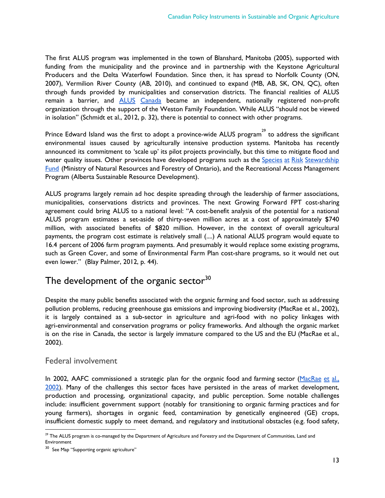The first ALUS program was implemented in the town of Blanshard, Manitoba (2005), supported with funding from the municipality and the province and in partnership with the Keystone Agricultural Producers and the Delta Waterfowl Foundation. Since then, it has spread to Norfolk County (ON, 2007), Vermilion River County (AB, 2010), and continued to expand (MB, AB, SK, ON, QC), often through funds provided by municipalities and conservation districts. The financial realities of ALUS remain a barrier, and ALUS [Canada](http://alus.ca/home/about-us/history/) became an independent, nationally registered non-profit organization through the support of the Weston Family Foundation. While ALUS "should not be viewed in isolation" (Schmidt et al., 2012, p. 32), there is potential to connect with other programs.

Prince Edward Island was the first to adopt a province-wide ALUS program $^{^{29}}$  to address the significant environmental issues caused by agriculturally intensive production systems. Manitoba has recently announced its commitment to 'scale up' its pilot projects provincially, but this time to mitigate flood and water quality issues. Other provinces have developed programs such as the Species at Risk [Stewardship](https://www.ontario.ca/page/grants-protecting-species-risk) [Fund](https://www.ontario.ca/page/grants-protecting-species-risk) (Ministry of Natural Resources and Forestry of Ontario), and the Recreational Access Management Program (Alberta Sustainable Resource Development).

ALUS programs largely remain ad hoc despite spreading through the leadership of farmer associations, municipalities, conservations districts and provinces. The next Growing Forward FPT cost-sharing agreement could bring ALUS to a national level: "A cost-benefit analysis of the potential for a national ALUS program estimates a set-aside of thirty-seven million acres at a cost of approximately \$740 million, with associated benefits of \$820 million. However, in the context of overall agricultural payments, the program cost estimate is relatively small (....) A national ALUS program would equate to 16.4 percent of 2006 farm program payments. And presumably it would replace some existing programs, such as Green Cover, and some of Environmental Farm Plan cost-share programs, so it would net out even lower." (Blay Palmer, 2012, p. 44).

## <span id="page-13-1"></span>The development of the organic sector $^{\rm 30}$

Despite the many public benefits associated with the organic farming and food sector, such as addressing pollution problems, reducing greenhouse gas emissions and improving biodiversity (MacRae et al., 2002), it is largely contained as a sub-sector in agriculture and agri-food with no policy linkages with agri-environmental and conservation programs or policy frameworks. And although the organic market is on the rise in Canada, the sector is largely immature compared to the US and the EU (MacRae et al., 2002).

#### <span id="page-13-0"></span>Federal involvement

In 2002, AAFC commissioned a strategic plan for the organic food and farming sector ( $MacRae$  et al., [2002\)](http://www.organicagcentre.ca/DOCs/reportfinal.pdf). Many of the challenges this sector faces have persisted in the areas of market development, production and processing, organizational capacity, and public perception. Some notable challenges include: insufficient government support (notably for transitioning to organic farming practices and for young farmers), shortages in organic feed, contamination by genetically engineered (GE) crops, insufficient domestic supply to meet demand, and regulatory and institutional obstacles (e.g. food safety,

 $29$  The ALUS program is co-managed by the Department of Agriculture and Forestry and the Department of Communities, Land and Environment

<sup>&</sup>lt;sup>30</sup> See Map "Supporting organic agriculture"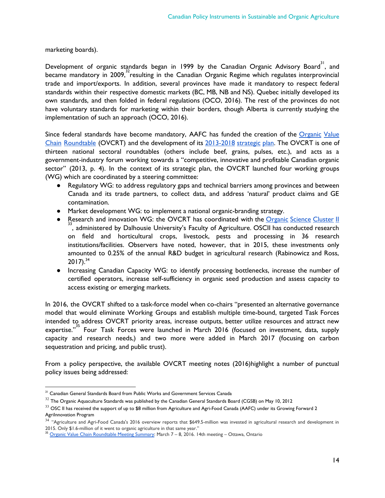marketing boards).

Development of organic standards began in 1999 by the Canadian Organic Advisory Board $^{\text{31}}$ , and became mandatory in 2009,<sup>32</sup> resulting in the Canadian Organic Regime which regulates interprovincial trade and import/exports. In addition, several provinces have made it mandatory to respect federal standards within their respective domestic markets (BC, MB, NB and NS). Quebec initially developed its own standards, and then folded in federal regulations (OCO, 2016). The rest of the provinces do not have voluntary standards for marketing within their borders, though Alberta is currently studying the implementation of such an approach (OCO, 2016).

Since federal standards have become mandatory, AAFC has funded the creation of the [Organic](http://www.agr.gc.ca/eng/industry-markets-and-trade/value-chain-roundtables/organics/?id=1385666883750) Value Chain [Roundtable](http://www.agr.gc.ca/eng/industry-markets-and-trade/value-chain-roundtables/organics/?id=1385666883750) (OVCRT) and the development of its [2013-2018](http://www5.agr.gc.ca/resources/prod/Internet-Internet/MISB-DGSIM/VCR-TCV/PDF/6502-eng.pdf) strategic plan. The OVCRT is one of thirteen national sectoral roundtables (others include beef, grains, pulses, etc.), and acts as a government-industry forum working towards a "competitive, innovative and profitable Canadian organic sector" (2013, p. 4). In the context of its strategic plan, the OVCRT launched four working groups (WG) which are coordinated by a steering committee:

- Regulatory WG: to address regulatory gaps and technical barriers among provinces and between Canada and its trade partners, to collect data, and address 'natural' product claims and GE contamination.
- Market development WG: to implement a national organic-branding strategy.
- Research and innovation WG: the OVCRT has coordinated with the [Organic](http://www.dal.ca/faculty/agriculture/oacc/en-home/organic-science-cluster/OSCII.html) Science Cluster II 33, administered by Dalhousie University's Faculty of Agriculture. OSCII has conducted research on field and horticultural crops, livestock, pests and processing in 36 research institutions/facilities. Observers have noted, however, that in 2015, these investments only amounted to 0.25% of the annual R&D budget in agricultural research (Rabinowicz and Ross,  $2017$ ).<sup>34</sup>
- Increasing Canadian Capacity WG: to identify processing bottlenecks, increase the number of certified operators, increase self-sufficiency in organic seed production and assess capacity to access existing or emerging markets.

In 2016, the OVCRT shifted to a task-force model when co-chairs "presented an alternative governance model that would eliminate Working Groups and establish multiple time-bound, targeted Task Forces intended to address OVCRT priority areas, increase outputs, better utilize resources and attract new expertise."<sup>35</sup> Four Task Forces were launched in March 2016 (focused on investment, data, supply capacity and research needs,) and two more were added in March 2017 (focusing on carbon sequestration and pricing, and public trust).

From a policy perspective, the available OVCRT meeting notes (2016)highlight a number of punctual policy issues being addressed:

<sup>&</sup>lt;sup>31</sup> Canadian General Standards Board from Public Works and Government Services Canada

 $32$  The Organic Aquaculture Standards was published by the Canadian General Standards Board (CGSB) on May 10, 2012

 $33$  OSC II has received the support of up to \$8 million from Agriculture and Agri-Food Canada (AAFC) under its Growing Forward 2 AgriInnovation Program

<sup>&</sup>lt;sup>34</sup> "Agriculture and Agri-Food Canada's 2016 overview reports that \$649.5-million was invested in agricultural research and development in 2015. Only \$1.6-million of it went to organic agriculture in that same year."

<sup>&</sup>lt;sup>35</sup> Organic Value Chain [Roundtable](http://www.agr.gc.ca/eng/industry-markets-and-trade/value-chain-roundtables/organics/organic-value-chain-roundtable-meeting-summary-march-7-8-2016/?id=1469795024541) Meeting Summary: March 7 – 8, 2016. 14th meeting – Ottawa, Ontario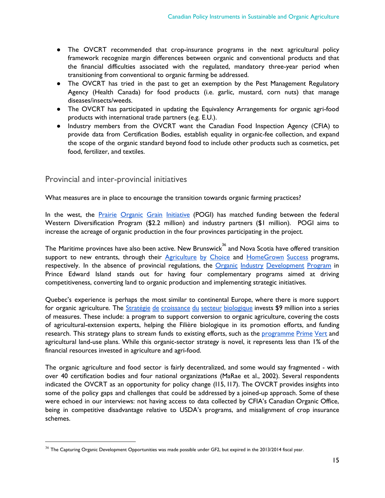- The OVCRT recommended that crop-insurance programs in the next agricultural policy framework recognize margin differences between organic and conventional products and that the financial difficulties associated with the regulated, mandatory three-year period when transitioning from conventional to organic farming be addressed.
- The OVCRT has tried in the past to get an exemption by the Pest Management Regulatory Agency (Health Canada) for food products (i.e. garlic, mustard, corn nuts) that manage diseases/insects/weeds.
- The OVCRT has participated in updating the Equivalency Arrangements for organic agri-food products with international trade partners (e.g. E.U.).
- Industry members from the OVCRT want the Canadian Food Inspection Agency (CFIA) to provide data from Certification Bodies, establish equality in organic-fee collection, and expand the scope of the organic standard beyond food to include other products such as cosmetics, pet food, fertilizer, and textiles.

#### <span id="page-15-0"></span>Provincial and inter-provincial initiatives

What measures are in place to encourage the transition towards organic farming practices?

In the west, the **Prairie Organic Grain [Initiative](http://organicfoodcouncil.org/index.php/grow-organic/prairie-organic-grain-initiative-pogi)** (POGI) has matched funding between the federal Western Diversification Program (\$2.2 million) and industry partners (\$1 million). POGI aims to increase the acreage of organic production in the four provinces participating in the project.

The Maritime provinces have also been active. New Brunswick $^{\text{36}}$  and Nova Scotia have offered transition support to new entrants, through their **[Agriculture](http://www2.gnb.ca/content/dam/gnb/Departments/10/pdf/Services/Agriculture/ChoiceGuidelines.pdf) by Choice and [HomeGrown](http://novascotia.ca/programs/homegrown-success/HGS-Pgm-Guidelines-2016-17-v2.pdf) Success** programs, respectively. In the absence of provincial regulations, the Organic Industry [Development](https://www.princeedwardisland.ca/en/information/agriculture-and-fisheries/organic-industry-development-program) Program in Prince Edward Island stands out for having four complementary programs aimed at driving competitiveness, converting land to organic production and implementing strategic initiatives.

Quebec's experience is perhaps the most similar to continental Europe, where there is more support for organic agriculture. The Stratégie de [croissance](https://www.mapaq.gouv.qc.ca/fr/Publications/mapaq_plan_strategique.pdf) du secteur biologique invests \$9 million into a series of measures. These include: a program to support conversion to organic agriculture, covering the costs of agricultural-extension experts, helping the Filière biologique in its promotion efforts, and funding research. This strategy plans to stream funds to existing efforts, such as the [programme](http://www.mapaq.gouv.qc.ca/fr/Productions/md/programmesliste/agroenvironnement/Pages/primevert.aspx) Prime Vert and agricultural land-use plans. While this organic-sector strategy is novel, it represents less than 1% of the financial resources invested in agriculture and agri-food.

The organic agriculture and food sector is fairly decentralized, and some would say fragmented - with over 40 certification bodies and four national organizations (MaRae et al., 2002). Several respondents indicated the OVCRT as an opportunity for policy change (I15, I17). The OVCRT provides insights into some of the policy gaps and challenges that could be addressed by a joined-up approach. Some of these were echoed in our interviews: not having access to data collected by CFIA's Canadian Organic Office, being in competitive disadvantage relative to USDA's programs, and misalignment of crop insurance schemes.

 $36$  The Capturing Organic Development Opportunities was made possible under GF2, but expired in the 2013/2014 fiscal year.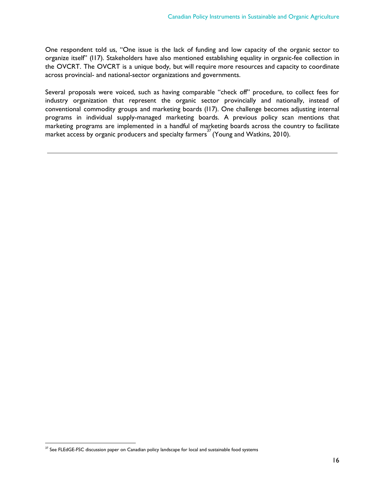One respondent told us, "One issue is the lack of funding and low capacity of the organic sector to organize itself" (I17). Stakeholders have also mentioned establishing equality in organic-fee collection in the OVCRT. The OVCRT is a unique body, but will require more resources and capacity to coordinate across provincial- and national-sector organizations and governments.

Several proposals were voiced, such as having comparable "check off" procedure, to collect fees for industry organization that represent the organic sector provincially and nationally, instead of conventional commodity groups and marketing boards (I17). One challenge becomes adjusting internal programs in individual supply-managed marketing boards. A previous policy scan mentions that marketing programs are implemented in a handful of marketing boards across the country to facilitate market access by organic producers and specialty farmers<sup>37</sup> (Young and Watkins, 2010).

 $37$  See FLEdGE-FSC discussion paper on Canadian policy landscape for local and sustainable food systems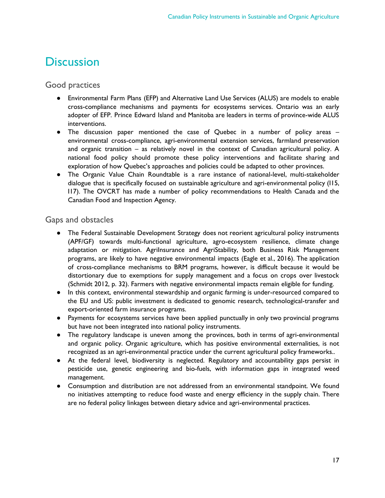## <span id="page-17-0"></span>**Discussion**

#### <span id="page-17-1"></span>Good practices

- Environmental Farm Plans (EFP) and Alternative Land Use Services (ALUS) are models to enable cross-compliance mechanisms and payments for ecosystems services. Ontario was an early adopter of EFP. Prince Edward Island and Manitoba are leaders in terms of province-wide ALUS interventions.
- The discussion paper mentioned the case of Quebec in a number of policy areas environmental cross-compliance, agri-environmental extension services, farmland preservation and organic transition – as relatively novel in the context of Canadian agricultural policy. A national food policy should promote these policy interventions and facilitate sharing and exploration of how Quebec's approaches and policies could be adapted to other provinces.
- The Organic Value Chain Roundtable is a rare instance of national-level, multi-stakeholder dialogue that is specifically focused on sustainable agriculture and agri-environmental policy (I15, I17). The OVCRT has made a number of policy recommendations to Health Canada and the Canadian Food and Inspection Agency.

#### <span id="page-17-2"></span>Gaps and obstacles

- The Federal Sustainable Development Strategy does not reorient agricultural policy instruments (APF/GF) towards multi-functional agriculture, agro-ecosystem resilience, climate change adaptation or mitigation. AgriInsurance and AgriStability, both Business Risk Management programs, are likely to have negative environmental impacts (Eagle et al., 2016). The application of cross-compliance mechanisms to BRM programs, however, is difficult because it would be distortionary due to exemptions for supply management and a focus on crops over livestock (Schmidt 2012, p. 32). Farmers with negative environmental impacts remain eligible for funding.
- In this context, environmental stewardship and organic farming is under-resourced compared to the EU and US: public investment is dedicated to genomic research, technological-transfer and export-oriented farm insurance programs.
- Payments for ecosystems services have been applied punctually in only two provincial programs but have not been integrated into national policy instruments.
- The regulatory landscape is uneven among the provinces, both in terms of agri-environmental and organic policy. Organic agriculture, which has positive environmental externalities, is not recognized as an agri-environmental practice under the current agricultural policy frameworks..
- At the federal level, biodiversity is neglected. Regulatory and accountability gaps persist in pesticide use, genetic engineering and bio-fuels, with information gaps in integrated weed management.
- Consumption and distribution are not addressed from an environmental standpoint. We found no initiatives attempting to reduce food waste and energy efficiency in the supply chain. There are no federal policy linkages between dietary advice and agri-environmental practices.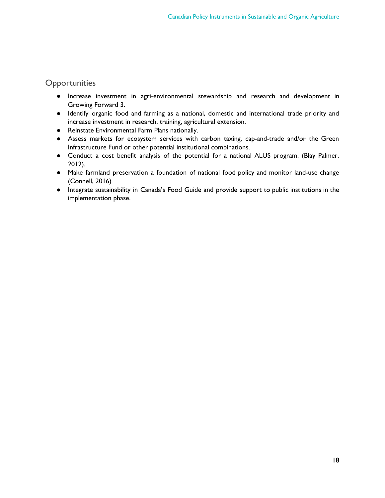#### <span id="page-18-0"></span>**Opportunities**

- Increase investment in agri-environmental stewardship and research and development in Growing Forward 3.
- Identify organic food and farming as a national, domestic and international trade priority and increase investment in research, training, agricultural extension.
- Reinstate Environmental Farm Plans nationally.
- Assess markets for ecosystem services with carbon taxing, cap-and-trade and/or the Green Infrastructure Fund or other potential institutional combinations.
- Conduct a cost benefit analysis of the potential for a national ALUS program. (Blay Palmer, 2012).
- Make farmland preservation a foundation of national food policy and monitor land-use change (Connell, 2016)
- Integrate sustainability in Canada's Food Guide and provide support to public institutions in the implementation phase.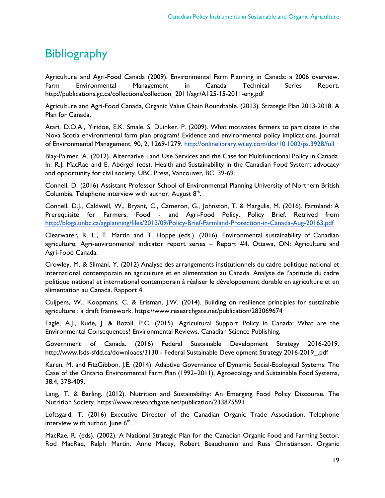# <span id="page-19-0"></span>**Bibliography**

Agriculture and Agri-Food Canada (2009). Environmental Farm Planning in Canada: a 2006 overview. Farm Environmental Management in Canada Technical Series Report. http://publications.gc.ca/collections/collection\_2011/agr/A125-15-2011-eng.pdf

Agriculture and Agri-Food Canada, Organic Value Chain Roundtable. (2013). Strategic Plan 2013-2018. A Plan for Canada.

Atari, D.O.A., Yiridoe, E.K. Smale, S. Duinker, P. (2009). What motivates farmers to participate in the Nova Scotia environmental farm plan program? Evidence and environmental policy implications. Journal of Environmental Management, 90, 2, 1269-1279. <http://onlinelibrary.wiley.com/doi/10.1002/ps.3928/full>

Blay-Palmer, A. (2012). Alternative Land Use Services and the Case for Multifunctional Policy in Canada. In: R.J. MacRae and E. Abergel (eds). Health and Sustainability in the Canadian Food System: advocacy and opportunity for civil society. UBC Press, Vancouver, BC. 39-69.

Connell, D. (2016) Assistant Professor School of Environmental Planning University of Northern British Columbia. Telephone interview with author, August 8<sup>th</sup>.

Connell, D.J., Caldwell, W., Bryant, C., Cameron, G., Johnston, T. & Margulis, M. (2016). Farmland: A Prerequisite for Farmers, Food - and Agri-Food Policy. Policy Brief. Retrived from <http://blogs.unbc.ca/agplanning/files/2013/09/Policy-Brief-Farmland-Protection-in-Canada-Aug-20163.pdf>

Clearwater, R. L., T. Martin and T. Hoppe (eds.). (2016). Environmental sustainability of Canadian agriculture: Agri-environmental indicator report series – Report #4. Ottawa, ON: Agriculture and Agri-Food Canada.

Crowley, M. & Slimani, Y. (2012) Analyse des arrangements institutionnels du cadre politique national et international contemporain en agriculture et en alimentation au Canada. Analyse de l'aptitude du cadre politique national et international contemporain à réaliser le développement durable en agriculture et en alimentation au Canada. Rapport 4.

Cuijpers, W., Koopmans, C. & Erisman, J.W. (2014). Building on resilience principles for sustainable agriculture : a draft framework. https://www.researchgate.net/publication/283069674

Eagle, A.J., Rude, J. & Bozall, P.C. (2015). Agricultural Support Policy in Canada: What are the Environmental Consequences? Environmental Reviews. Canadian Science Publishing.

Government of Canada. (2016) Federal Sustainable Development Strategy 2016-2019. http://www.fsds-sfdd.ca/downloads/3130 - Federal Sustainable Development Strategy 2016-2019\_.pdf

Karen, M. and FitzGibbon, J.E. (2014). Adaptive Governance of Dynamic Social-Ecological Systems: The Case of the Ontario Environmental Farm Plan (1992–2011), Agroecology and Sustainable Food Systems, 38:4, 378-409,

Lang, T. & Barling. (2012). Nutrition and Sustainability: An Emerging Food Policy Discourse. The Nutrition Society. https://www.researchgate.net/publication/233875591

Loftsgard, T. (2016) Executive Director of the Canadian Organic Trade Association. Telephone interview with author, June  $6<sup>th</sup>$ .

MacRae, R. (eds). (2002). A National Strategic Plan for the Canadian Organic Food and Farming Sector. Rod MacRae, Ralph Martin, Anne Macey, Robert Beauchemin and Russ Christianson. Organic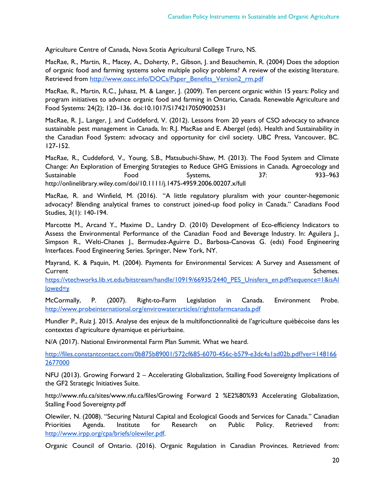Agriculture Centre of Canada, Nova Scotia Agricultural College Truro, NS.

MacRae, R., Martin, R., Macey, A., Doherty, P., Gibson, J. and Beauchemin, R. (2004) Does the adoption of organic food and farming systems solve multiple policy problems? A review of the existing literature. Retrieved from [http://www.oacc.info/DOCs/Paper\\_Benefits\\_Version2\\_rm.pdf](http://www.oacc.info/DOCs/Paper_Benefits_Version2_rm.pdf)

MacRae, R., Martin, R.C., Juhasz, M. & Langer, J. (2009). Ten percent organic within 15 years: Policy and program initiatives to advance organic food and farming in Ontario, Canada. Renewable Agriculture and Food Systems: 24(2); 120–136. doi:10.1017/S1742170509002531

MacRae, R. J., Langer, J. and Cuddeford, V. (2012). Lessons from 20 years of CSO advocacy to advance sustainable pest management in Canada. In: R.J. MacRae and E. Abergel (eds). Health and Sustainability in the Canadian Food System: advocacy and opportunity for civil society. UBC Press, Vancouver, BC. 127-152.

MacRae, R., Cuddeford, V., Young, S.B., Matsubuchi-Shaw, M. (2013). The Food System and Climate Change: An Exploration of Emerging Strategies to Reduce GHG Emissions in Canada. Agroecology and Sustainable Food Systems, 37: 933–963 http://onlinelibrary.wiley.com/doi/10.1111/j.1475-4959.2006.00207.x/full

MacRae, R. and Winfield, M. (2016). "A little regulatory pluralism with your counter-hegemonic advocacy? Blending analytical frames to construct joined-up food policy in Canada." Canadians Food Studies, 3(1): 140-194.

Marcotte M., Arcand Y., Maxime D., Landry D. (2010) Development of Eco-efficiency Indicators to Assess the Environmental Performance of the Canadian Food and Beverage Industry. In: Aguilera J., Simpson R., Welti-Chanes J., Bermudez-Aguirre D., Barbosa-Canovas G. (eds) Food Engineering Interfaces. Food Engineering Series. Springer, New York, NY.

Mayrand, K. & Paquin, M. (2004). Payments for Environmental Services: A Survey and Assessment of **Current** Schemes.

[https://vtechworks.lib.vt.edu/bitstream/handle/10919/66935/2440\\_PES\\_Unisfera\\_en.pdf?sequence=1&isAl](https://vtechworks.lib.vt.edu/bitstream/handle/10919/66935/2440_PES_Unisfera_en.pdf?sequence=1&isAllowed=y) [lowed=y](https://vtechworks.lib.vt.edu/bitstream/handle/10919/66935/2440_PES_Unisfera_en.pdf?sequence=1&isAllowed=y)

McCormally, P. (2007). Right-to-Farm Legislation in Canada. Environment Probe. <http://www.probeinternational.org/envirowaterarticles/righttofarmcanada.pdf>

Mundler P., Ruiz J. 2015. Analyse des enjeux de la multifonctionnalité de l'agriculture québécoise dans les contextes d'agriculture dynamique et périurbaine.

N/A (2017). National Environmental Farm Plan Summit. What we heard.

[http://files.constantcontact.com/0b875b89001/572cf685-6070-456c-b579-e3dc4a1ad02b.pdf?ver=148166](http://files.constantcontact.com/0b875b89001/572cf685-6070-456c-b579-e3dc4a1ad02b.pdf?ver=1481662677000) [2677000](http://files.constantcontact.com/0b875b89001/572cf685-6070-456c-b579-e3dc4a1ad02b.pdf?ver=1481662677000)

NFU (2013). Growing Forward 2 – Accelerating Globalization, Stalling Food Sovereignty Implications of the GF2 Strategic Initiatives Suite.

http://www.nfu.ca/sites/www.nfu.ca/files/Growing Forward 2 %E2%80%93 Accelerating Globalization, Stalling Food Sovereignty.pdf

Olewiler, N. (2008). "Securing Natural Capital and Ecological Goods and Services for Canada." Canadian Priorities Agenda. Institute for Research on Public Policy. Retrieved from: [http://www.irpp.org/cpa/briefs/olewiler.pdf.](http://www.irpp.org/cpa/briefs/olewiler.pdf)

Organic Council of Ontario. (2016). Organic Regulation in Canadian Provinces. Retrieved from: